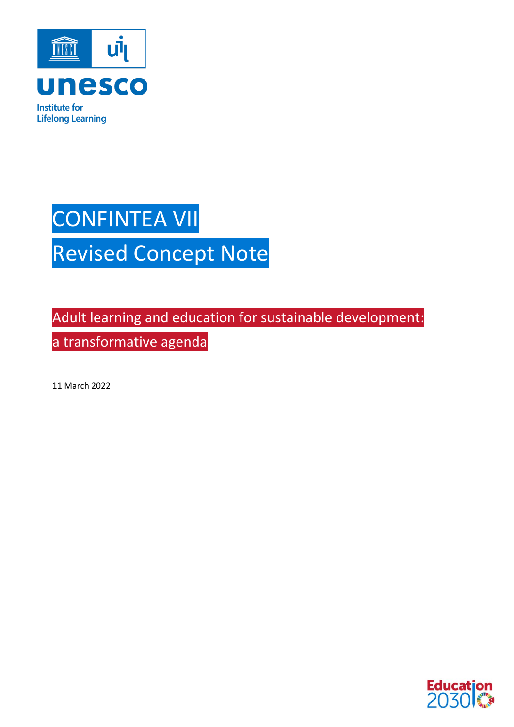

# CONFINTEA VII Revised Concept Note

Adult learning and education for sustainable development: a transformative agenda

11 March 2022

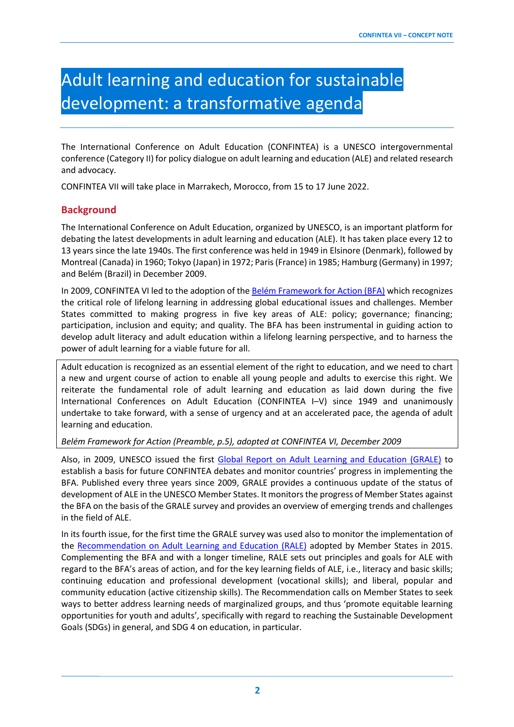# Adult learning and education for sustainable development: a transformative agenda

The International Conference on Adult Education (CONFINTEA) is a UNESCO intergovernmental conference (Category II) for policy dialogue on adult learning and education (ALE) and related research and advocacy.

CONFINTEA VII will take place in Marrakech, Morocco, from 15 to 17 June 2022.

## **Background**

The International Conference on Adult Education, organized by UNESCO, is an important platform for debating the latest developments in adult learning and education (ALE). It has taken place every 12 to 13 years since the late 1940s. The first conference was held in 1949 in Elsinore (Denmark), followed by Montreal (Canada) in 1960; Tokyo (Japan) in 1972; Paris (France) in 1985; Hamburg (Germany) in 1997; and Belém (Brazil) in December 2009.

In 2009, CONFINTEA VI led to the adoption of th[e Belém Framework for Action \(BFA\)](https://uil.unesco.org/adult-education/confintea/belem-framework-action) which recognizes the critical role of lifelong learning in addressing global educational issues and challenges. Member States committed to making progress in five key areas of ALE: policy; governance; financing; participation, inclusion and equity; and quality. The BFA has been instrumental in guiding action to develop adult literacy and adult education within a lifelong learning perspective, and to harness the power of adult learning for a viable future for all.

Adult education is recognized as an essential element of the right to education, and we need to chart a new and urgent course of action to enable all young people and adults to exercise this right. We reiterate the fundamental role of adult learning and education as laid down during the five International Conferences on Adult Education (CONFINTEA I–V) since 1949 and unanimously undertake to take forward, with a sense of urgency and at an accelerated pace, the agenda of adult learning and education.

*Belém Framework for Action (Preamble, p.5), adopted at CONFINTEA VI, December 2009*

Also, in 2009, UNESCO issued the first [Global Report on Adult Learning and Education \(GRALE\)](https://uil.unesco.org/adult-education/global-report) to establish a basis for future CONFINTEA debates and monitor countries' progress in implementing the BFA. Published every three years since 2009, GRALE provides a continuous update of the status of development of ALE in the UNESCO Member States. It monitors the progress of Member States against the BFA on the basis of the GRALE survey and provides an overview of emerging trends and challenges in the field of ALE.

In its fourth issue, for the first time the GRALE survey was used also to monitor the implementation of the [Recommendation on Adult Learning and Education \(RALE\)](https://uil.unesco.org/adult-education/unesco-recommendation/unesco-recommendation-adult-learning-and-education-2015) adopted by Member States in 2015. Complementing the BFA and with a longer timeline, RALE sets out principles and goals for ALE with regard to the BFA's areas of action, and for the key learning fields of ALE, i.e., literacy and basic skills; continuing education and professional development (vocational skills); and liberal, popular and community education (active citizenship skills). The Recommendation calls on Member States to seek ways to better address learning needs of marginalized groups, and thus 'promote equitable learning opportunities for youth and adults', specifically with regard to reaching the Sustainable Development Goals (SDGs) in general, and SDG 4 on education, in particular.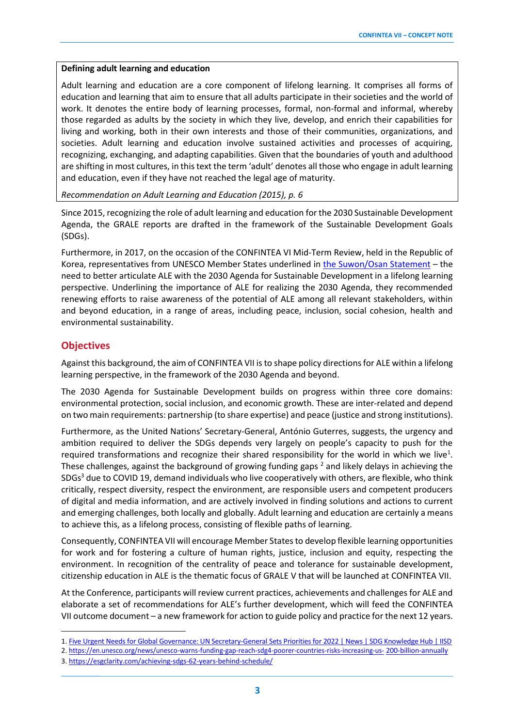#### **Defining adult learning and education**

Adult learning and education are a core component of lifelong learning. It comprises all forms of education and learning that aim to ensure that all adults participate in their societies and the world of work. It denotes the entire body of learning processes, formal, non-formal and informal, whereby those regarded as adults by the society in which they live, develop, and enrich their capabilities for living and working, both in their own interests and those of their communities, organizations, and societies. Adult learning and education involve sustained activities and processes of acquiring, recognizing, exchanging, and adapting capabilities. Given that the boundaries of youth and adulthood are shifting in most cultures, in this text the term 'adult' denotes all those who engage in adult learning and education, even if they have not reached the legal age of maturity.

*Recommendation on Adult Learning and Education (2015), p. 6*

Since 2015, recognizing the role of adult learning and education forthe 2030 Sustainable Development Agenda, the GRALE reports are drafted in the framework of the Sustainable Development Goals (SDGs).

Furthermore, in 2017, on the occasion of the CONFINTEA VI Mid-Term Review, held in the Republic of Korea, representatives from UNESCO Member States underlined in [the Suwon/Osan Statement](https://uil.unesco.org/adult-education/confintea/suwon-osan-confintea-vi-mid-term-review-statement) – the need to better articulate ALE with the 2030 Agenda for Sustainable Development in a lifelong learning perspective. Underlining the importance of ALE for realizing the 2030 Agenda, they recommended renewing efforts to raise awareness of the potential of ALE among all relevant stakeholders, within and beyond education, in a range of areas, including peace, inclusion, social cohesion, health and environmental sustainability.

#### **Objectives**

Against this background, the aim of CONFINTEA VII isto shape policy directions for ALE within a lifelong learning perspective, in the framework of the 2030 Agenda and beyond.

The 2030 Agenda for Sustainable Development builds on progress within three core domains: environmental protection, social inclusion, and economic growth. These are inter-related and depend on two main requirements: partnership (to share expertise) and peace (justice and strong institutions).

Furthermore, as the United Nations' Secretary-General, António Guterres, suggests, the urgency and ambition required to deliver the SDGs depends very largely on people's capacity to push for the required transformations and recognize their shared responsibility for the world in which we live<sup>1</sup>. These challenges, against the background of growing funding gaps <sup>2</sup> and likely delays in achieving the SDGs<sup>3</sup> due to COVID 19, demand individuals who live cooperatively with others, are flexible, who think critically, respect diversity, respect the environment, are responsible users and competent producers of digital and media information, and are actively involved in finding solutions and actions to current and emerging challenges, both locally and globally. Adult learning and education are certainly a means to achieve this, as a lifelong process, consisting of flexible paths of learning.

Consequently, CONFINTEA VII will encourage Member States to develop flexible learning opportunities for work and for fostering a culture of human rights, justice, inclusion and equity, respecting the environment. In recognition of the centrality of peace and tolerance for sustainable development, citizenship education in ALE is the thematic focus of GRALE V that will be launched at CONFINTEA VII.

At the Conference, participants will review current practices, achievements and challenges for ALE and elaborate a set of recommendations for ALE's further development, which will feed the CONFINTEA VII outcome document – a new framework for action to guide policy and practice for the next 12 years.

<sup>1.</sup> [Five Urgent Needs for Global Governance: UN Secretary-General Sets Priorities for 2022 | News | SDG Knowledge Hub | IISD](https://sustainabledevelopment.un.org/content/documents/24978R)

<sup>2.</sup><https://en.unesco.org/news/unesco-warns-funding-gap-reach-sdg4-poorer-countries-risks-increasing-us-> [200-billion-annually](https://en.unesco.org/news/unesco-warns-funding-gap-reach-sdg4-poorer-countries-risks-increasing-us-200-billion-annually)

<sup>3.</sup><https://esgclarity.com/achieving-sdgs-62-years-behind-schedule/>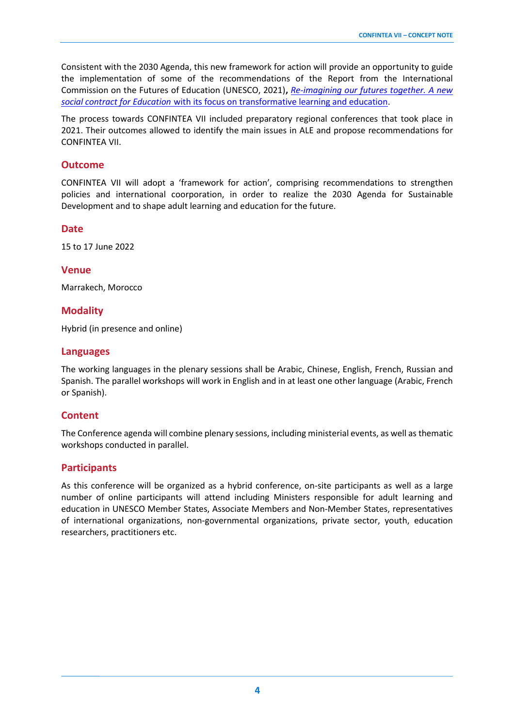Consistent with the 2030 Agenda, this new framework for action will provide an opportunity to guide the implementation of some of the recommendations of the Report from the International Commission on the Futures of Education (UNESCO, 2021)**,** *[Re-imagining our futures together. A new](https://unesdoc.unesco.org/ark:/48223/pf0000379707)  [social contract for Education](https://unesdoc.unesco.org/ark:/48223/pf0000379707)* with its focus on transformative learning and education.

The process towards CONFINTEA VII included preparatory regional conferences that took place in 2021. Their outcomes allowed to identify the main issues in ALE and propose recommendations for CONFINTEA VII.

#### **Outcome**

CONFINTEA VII will adopt a 'framework for action', comprising recommendations to strengthen policies and international coorporation, in order to realize the 2030 Agenda for Sustainable Development and to shape adult learning and education for the future.

#### **Date**

15 to 17 June 2022

#### **Venue**

Marrakech, Morocco

## **Modality**

Hybrid (in presence and online)

#### **Languages**

The working languages in the plenary sessions shall be Arabic, Chinese, English, French, Russian and Spanish. The parallel workshops will work in English and in at least one other language (Arabic, French or Spanish).

## **Content**

The Conference agenda will combine plenary sessions, including ministerial events, as well as thematic workshops conducted in parallel.

## **Participants**

As this conference will be organized as a hybrid conference, on-site participants as well as a large number of online participants will attend including Ministers responsible for adult learning and education in UNESCO Member States, Associate Members and Non-Member States, representatives of international organizations, non-governmental organizations, private sector, youth, education researchers, practitioners etc.